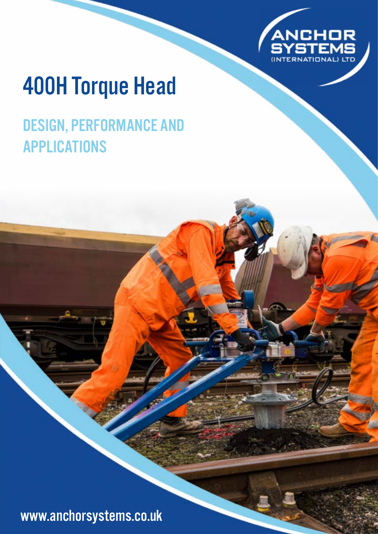

# 400H Torque Head

# DESIGN, PERFORMANCE AND APPLICATIONS

www.anchorsystems.co.uk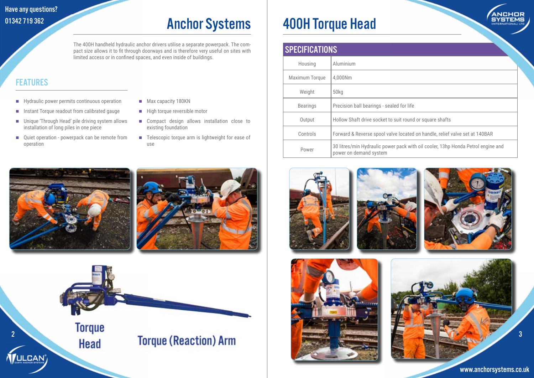# SPECIFICATIONS Housing Aluminium

| <b>Maximum Torque</b> | 4,000Nm                                                          |
|-----------------------|------------------------------------------------------------------|
| Weight                | 50 <sub>kq</sub>                                                 |
| <b>Bearings</b>       | Precision ball bearings - sealed for life                        |
| Output                | Hollow Shaft drive socket to suit round                          |
| Controls              | Forward & Reverse spool valve located                            |
| Power                 | 30 litres/min Hydraulic power pack wit<br>power on demand system |









round or square shafts

cated on handle, relief valve set at 140BAR

ck with oil cooler, 13hp Honda Petrol engine and

### Have any questions? 01342 719 362

www.anchorsystems.co.uk



# Anchor Systems | 400H Torque Head

- **Hydraulic power permits continuous operation**
- **Instant Torque readout from calibrated gauge**
- Unique 'Through Head' pile driving system allows installation of long piles in one piece
- Quiet operation powerpack can be remote from operation
- Max capacity 180KN
- $\blacksquare$  High torque reversible motor
- **Compact design allows installation close to** existing foundation
- Telescopic torque arm is lightweight for ease of use





The 400H handheld hydraulic anchor drivers utilise a separate powerpack. The compact size allows it to fit through doorways and is therefore very useful on sites with limited access or in confined spaces, and even inside of buildings.

### **FEATURES**